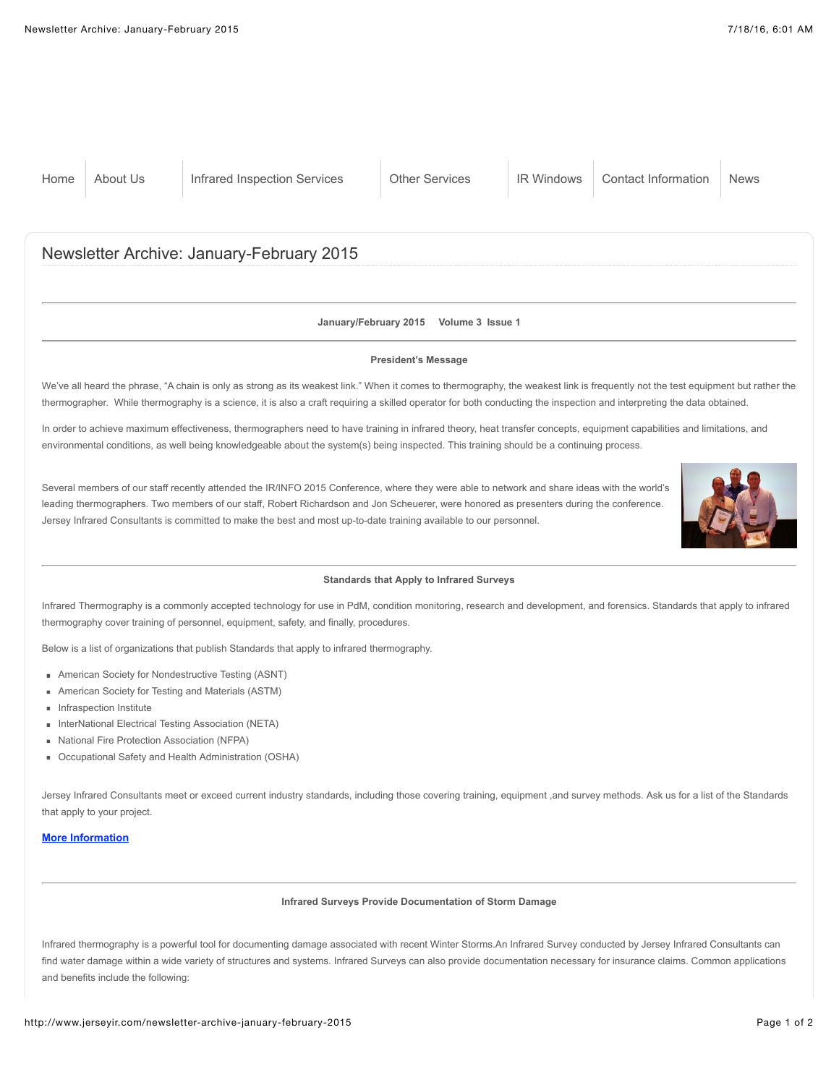### **January/February 2015 Volume 3 Issue 1**

#### **President's Message**

We've all heard the phrase, "A chain is only as strong as its weakest link." When it comes to thermography, the weakest link is frequently not the test equipment but rather the thermographer. While thermography is a science, it is also a craft requiring a skilled operator for both conducting the inspection and interpreting the data obtained.

In order to achieve maximum effectiveness, thermographers need to have training in infrared theory, heat transfer concepts, equipment capabilities and limitations, and environmental conditions, as well being knowledgeable about the system(s) being inspected. This training should be a continuing process.

Several members of our staff recently attended the IR/INFO 2015 Conference, where they were able to network and share ideas with the world's leading thermographers. Two members of our staff, Robert Richardson and Jon Scheuerer, were honored as presenters during the conference. Jersey Infrared Consultants is committed to make the best and most up-to-date training available to our personnel.



## **Standards that Apply to Infrared Surveys**

Infrared Thermography is a commonly accepted technology for use in PdM, condition monitoring, research and development, and forensics. Standards that apply to infrared thermography cover training of personnel, equipment, safety, and finally, procedures.

Below is a list of organizations that publish Standards that apply to infrared thermography.

- American Society for Nondestructive Testing (ASNT)
- American Society for Testing and Materials (ASTM)
- **Infraspection Institute**
- InterNational Electrical Testing Association (NETA)
- National Fire Protection Association (NFPA)
- Occupational Safety and Health Administration (OSHA)

Jersey Infrared Consultants meet or exceed current industry standards, including those covering training, equipment ,and survey methods. Ask us for a list of the Standards that apply to your project.

# **[More Information](http://www.jerseyir.com/qualifications-memberships)**

#### **Infrared Surveys Provide Documentation of Storm Damage**

Infrared thermography is a powerful tool for documenting damage associated with recent Winter Storms.An Infrared Survey conducted by Jersey Infrared Consultants can find water damage within a wide variety of structures and systems. Infrared Surveys can also provide documentation necessary for insurance claims. Common applications and benefits include the following: